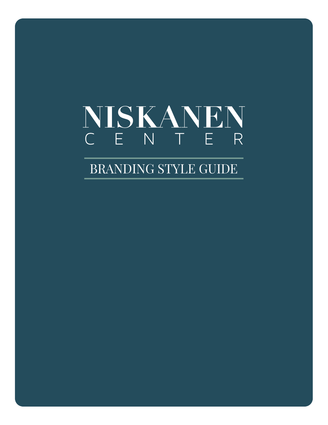## NISKANEN C E N T E R

BRANDING STYLE GUIDE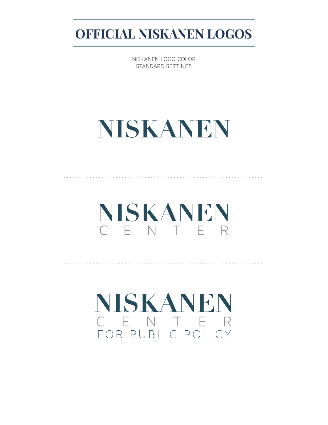**OFFICIAL NISKANEN LOGOS**

NISKANEN LOGO COLOR STANDARD SETTINGS

# **NISKANEN**

NISKANEN C F N T F R

. . . . . . . . . . . . . . . . . . . . . . . . . . . . . . . . . . . . . . . . . . . . . . . . . . . . . . . . . . . . . . . . . . . . .

. . . . . . . . . . . . . . . . . . . . . . . . . . . . . . . . . . . . . . . . . . . . . . . . . . . . . . . . . . . . . . . . . . . . .

NISKANEN C E N T E R FOR PUBLIC POLICY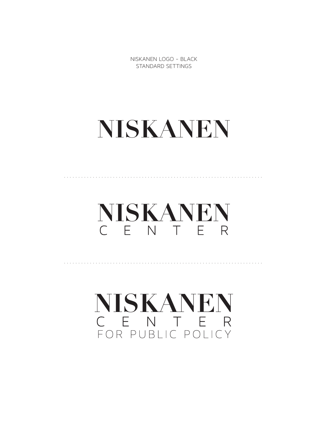NISKANEN LOGO - BLACK STANDARD SETTINGS

## NISKANEN

NISKANEN C E N T E R

NISKANEN C E N T E R FOR PUBLIC POLICY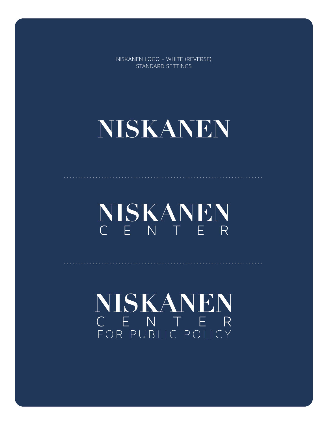NISKANEN LOGO - WHITE (REVERSE) STANDARD SETTINGS

# NISKANEN

NISKANEN C E N T E R

NISKANEN C E N T E R<br>FOR PUBLIC POLICY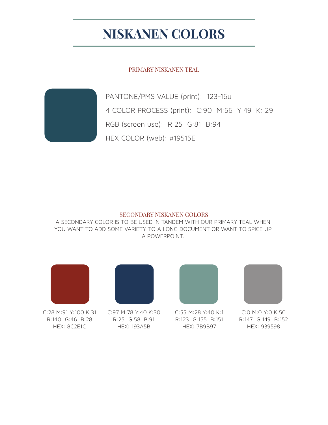## **NISKANEN COLORS**

PRIMARY NISKANEN TEAL



PANTONE/PMS VALUE (print): 123-16u 4 COLOR PROCESS (print): C:90 M:56 Y:49 K: 29 RGB (screen use): R:25 G:81 B:94 HEX COLOR (web): #19515E

#### SECONDARY NISKANEN COLORS

A SECONDARY COLOR IS TO BE USED IN TANDEM WITH OUR PRIMARY TEAL WHEN YOU WANT TO ADD SOME VARIETY TO A LONG DOCUMENT OR WANT TO SPICE UP A POWERPOINT.



C:28 M:91 Y:100 K:31 R:140 G:46 B:28 HEX: 8C2E1C



C:97 M:78 Y:40 K:30 R:25 G:58 B:91 HEX: 193A5B



C:55 M:28 Y:40 K:1 R:123 G:155 B:151 HEX: 7B9B97



C:0 M:0 Y:0 K:50 R:147 G:149 B:152 HEX: 939598